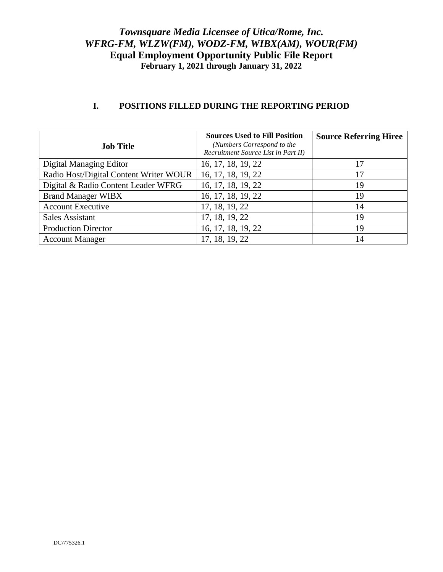| <b>Job Title</b>                       | <b>Sources Used to Fill Position</b><br>(Numbers Correspond to the<br>Recruitment Source List in Part II) | <b>Source Referring Hiree</b> |
|----------------------------------------|-----------------------------------------------------------------------------------------------------------|-------------------------------|
| Digital Managing Editor                | 16, 17, 18, 19, 22                                                                                        |                               |
| Radio Host/Digital Content Writer WOUR | 16, 17, 18, 19, 22                                                                                        | 17                            |
| Digital & Radio Content Leader WFRG    | 16, 17, 18, 19, 22                                                                                        | 19                            |
| <b>Brand Manager WIBX</b>              | 16, 17, 18, 19, 22                                                                                        | 19                            |
| <b>Account Executive</b>               | 17, 18, 19, 22                                                                                            | 14                            |
| <b>Sales Assistant</b>                 | 17, 18, 19, 22                                                                                            | 19                            |
| <b>Production Director</b>             | 16, 17, 18, 19, 22                                                                                        | 19                            |
| <b>Account Manager</b>                 | 17, 18, 19, 22                                                                                            | 14                            |

#### **I. POSITIONS FILLED DURING THE REPORTING PERIOD**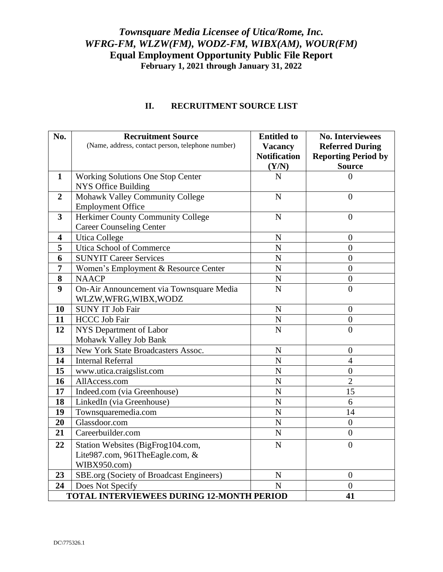| No.                                             | <b>Recruitment Source</b><br>(Name, address, contact person, telephone number) | <b>Entitled to</b><br><b>Vacancy</b><br><b>Notification</b><br>(Y/N) | <b>No. Interviewees</b><br><b>Referred During</b><br><b>Reporting Period by</b><br><b>Source</b> |
|-------------------------------------------------|--------------------------------------------------------------------------------|----------------------------------------------------------------------|--------------------------------------------------------------------------------------------------|
| $\mathbf{1}$                                    | <b>Working Solutions One Stop Center</b>                                       | N                                                                    | $\overline{0}$                                                                                   |
|                                                 | NYS Office Building                                                            |                                                                      |                                                                                                  |
| $\overline{2}$                                  | Mohawk Valley Community College                                                | $\mathbf N$                                                          | $\overline{0}$                                                                                   |
|                                                 | <b>Employment Office</b>                                                       |                                                                      |                                                                                                  |
| $\mathbf{3}$                                    | Herkimer County Community College                                              | $\mathbf N$                                                          | $\boldsymbol{0}$                                                                                 |
|                                                 | <b>Career Counseling Center</b>                                                |                                                                      |                                                                                                  |
| $\overline{\mathbf{4}}$                         | <b>Utica College</b>                                                           | $\mathbf N$                                                          | $\boldsymbol{0}$                                                                                 |
| 5                                               | Utica School of Commerce                                                       | $\mathbf N$                                                          | $\overline{0}$                                                                                   |
| 6                                               | <b>SUNYIT Career Services</b>                                                  | $\mathbf N$                                                          | $\overline{0}$                                                                                   |
| $\overline{7}$                                  | Women's Employment & Resource Center                                           | $\overline{N}$                                                       | $\boldsymbol{0}$                                                                                 |
| 8                                               | <b>NAACP</b>                                                                   | $\mathbf N$                                                          | $\boldsymbol{0}$                                                                                 |
| 9                                               | On-Air Announcement via Townsquare Media<br>WLZW, WFRG, WIBX, WODZ             | $\mathbf N$                                                          | $\overline{0}$                                                                                   |
| 10                                              | <b>SUNY IT Job Fair</b>                                                        | ${\bf N}$                                                            | $\theta$                                                                                         |
| 11                                              | <b>HCCC Job Fair</b>                                                           | ${\bf N}$                                                            | $\boldsymbol{0}$                                                                                 |
| 12                                              | NYS Department of Labor                                                        | $\overline{N}$                                                       | $\overline{0}$                                                                                   |
|                                                 | Mohawk Valley Job Bank                                                         |                                                                      |                                                                                                  |
| 13                                              | New York State Broadcasters Assoc.                                             | $\mathbf N$                                                          | $\overline{0}$                                                                                   |
| 14                                              | <b>Internal Referral</b>                                                       | $\overline{N}$                                                       | $\overline{4}$                                                                                   |
| 15                                              | www.utica.craigslist.com                                                       | $\mathbf N$                                                          | $\boldsymbol{0}$                                                                                 |
| 16                                              | AllAccess.com                                                                  | $\mathbf N$                                                          | $\overline{2}$                                                                                   |
| 17                                              | Indeed.com (via Greenhouse)                                                    | N                                                                    | 15                                                                                               |
| 18                                              | LinkedIn (via Greenhouse)                                                      | $\overline{N}$                                                       | 6                                                                                                |
| 19                                              | Townsquaremedia.com                                                            | $\overline{N}$                                                       | 14                                                                                               |
| 20                                              | Glassdoor.com                                                                  | $\overline{N}$                                                       | $\overline{0}$                                                                                   |
| 21                                              | Careerbuilder.com                                                              | $\overline{N}$                                                       | $\theta$                                                                                         |
| 22                                              | Station Websites (BigFrog104.com,                                              | ${\bf N}$                                                            | $\overline{0}$                                                                                   |
|                                                 | Lite987.com, 961TheEagle.com, &                                                |                                                                      |                                                                                                  |
|                                                 | WIBX950.com)                                                                   |                                                                      |                                                                                                  |
| 23                                              | SBE.org (Society of Broadcast Engineers)                                       | ${\bf N}$                                                            | $\boldsymbol{0}$                                                                                 |
| 24                                              | Does Not Specify                                                               | $\mathbf N$                                                          | $\overline{0}$                                                                                   |
| TOTAL INTERVIEWEES DURING 12-MONTH PERIOD<br>41 |                                                                                |                                                                      |                                                                                                  |

### **II. RECRUITMENT SOURCE LIST**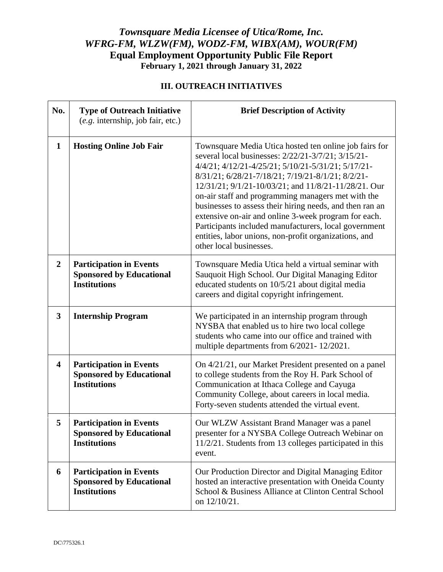### **III. OUTREACH INITIATIVES**

| No.                     | <b>Type of Outreach Initiative</b><br>$(e.g.$ internship, job fair, etc.)                | <b>Brief Description of Activity</b>                                                                                                                                                                                                                                                                                                                                                                                                                                                                                                                                                                   |
|-------------------------|------------------------------------------------------------------------------------------|--------------------------------------------------------------------------------------------------------------------------------------------------------------------------------------------------------------------------------------------------------------------------------------------------------------------------------------------------------------------------------------------------------------------------------------------------------------------------------------------------------------------------------------------------------------------------------------------------------|
| $\mathbf{1}$            | <b>Hosting Online Job Fair</b>                                                           | Townsquare Media Utica hosted ten online job fairs for<br>several local businesses: 2/22/21-3/7/21; 3/15/21-<br>4/4/21; 4/12/21-4/25/21; 5/10/21-5/31/21; 5/17/21-<br>8/31/21; 6/28/21-7/18/21; 7/19/21-8/1/21; 8/2/21-<br>12/31/21; 9/1/21-10/03/21; and 11/8/21-11/28/21. Our<br>on-air staff and programming managers met with the<br>businesses to assess their hiring needs, and then ran an<br>extensive on-air and online 3-week program for each.<br>Participants included manufacturers, local government<br>entities, labor unions, non-profit organizations, and<br>other local businesses. |
| $\overline{2}$          | <b>Participation in Events</b><br><b>Sponsored by Educational</b><br><b>Institutions</b> | Townsquare Media Utica held a virtual seminar with<br>Sauquoit High School. Our Digital Managing Editor<br>educated students on 10/5/21 about digital media<br>careers and digital copyright infringement.                                                                                                                                                                                                                                                                                                                                                                                             |
| $\mathbf{3}$            | <b>Internship Program</b>                                                                | We participated in an internship program through<br>NYSBA that enabled us to hire two local college<br>students who came into our office and trained with<br>multiple departments from 6/2021-12/2021.                                                                                                                                                                                                                                                                                                                                                                                                 |
| $\overline{\mathbf{4}}$ | <b>Participation in Events</b><br><b>Sponsored by Educational</b><br><b>Institutions</b> | On 4/21/21, our Market President presented on a panel<br>to college students from the Roy H. Park School of<br>Communication at Ithaca College and Cayuga<br>Community College, about careers in local media.<br>Forty-seven students attended the virtual event.                                                                                                                                                                                                                                                                                                                                      |
| 5                       | <b>Participation in Events</b><br><b>Sponsored by Educational</b><br><b>Institutions</b> | Our WLZW Assistant Brand Manager was a panel<br>presenter for a NYSBA College Outreach Webinar on<br>11/2/21. Students from 13 colleges participated in this<br>event.                                                                                                                                                                                                                                                                                                                                                                                                                                 |
| 6                       | <b>Participation in Events</b><br><b>Sponsored by Educational</b><br><b>Institutions</b> | Our Production Director and Digital Managing Editor<br>hosted an interactive presentation with Oneida County<br>School & Business Alliance at Clinton Central School<br>on 12/10/21.                                                                                                                                                                                                                                                                                                                                                                                                                   |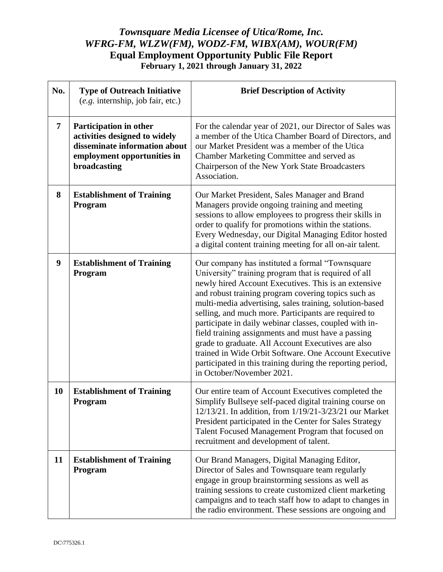| No.            | <b>Type of Outreach Initiative</b><br>$(e.g.$ internship, job fair, etc.)                                                               | <b>Brief Description of Activity</b>                                                                                                                                                                                                                                                                                                                                                                                                                                                                                                                                                                                                                                |
|----------------|-----------------------------------------------------------------------------------------------------------------------------------------|---------------------------------------------------------------------------------------------------------------------------------------------------------------------------------------------------------------------------------------------------------------------------------------------------------------------------------------------------------------------------------------------------------------------------------------------------------------------------------------------------------------------------------------------------------------------------------------------------------------------------------------------------------------------|
| $\overline{7}$ | Participation in other<br>activities designed to widely<br>disseminate information about<br>employment opportunities in<br>broadcasting | For the calendar year of 2021, our Director of Sales was<br>a member of the Utica Chamber Board of Directors, and<br>our Market President was a member of the Utica<br>Chamber Marketing Committee and served as<br>Chairperson of the New York State Broadcasters<br>Association.                                                                                                                                                                                                                                                                                                                                                                                  |
| 8              | <b>Establishment of Training</b><br>Program                                                                                             | Our Market President, Sales Manager and Brand<br>Managers provide ongoing training and meeting<br>sessions to allow employees to progress their skills in<br>order to qualify for promotions within the stations.<br>Every Wednesday, our Digital Managing Editor hosted<br>a digital content training meeting for all on-air talent.                                                                                                                                                                                                                                                                                                                               |
| 9              | <b>Establishment of Training</b><br>Program                                                                                             | Our company has instituted a formal "Townsquare<br>University" training program that is required of all<br>newly hired Account Executives. This is an extensive<br>and robust training program covering topics such as<br>multi-media advertising, sales training, solution-based<br>selling, and much more. Participants are required to<br>participate in daily webinar classes, coupled with in-<br>field training assignments and must have a passing<br>grade to graduate. All Account Executives are also<br>trained in Wide Orbit Software. One Account Executive<br>participated in this training during the reporting period,<br>in October/November 2021. |
| 10             | <b>Establishment of Training</b><br>Program                                                                                             | Our entire team of Account Executives completed the<br>Simplify Bullseye self-paced digital training course on<br>12/13/21. In addition, from 1/19/21-3/23/21 our Market<br>President participated in the Center for Sales Strategy<br>Talent Focused Management Program that focused on<br>recruitment and development of talent.                                                                                                                                                                                                                                                                                                                                  |
| 11             | <b>Establishment of Training</b><br>Program                                                                                             | Our Brand Managers, Digital Managing Editor,<br>Director of Sales and Townsquare team regularly<br>engage in group brainstorming sessions as well as<br>training sessions to create customized client marketing<br>campaigns and to teach staff how to adapt to changes in<br>the radio environment. These sessions are ongoing and                                                                                                                                                                                                                                                                                                                                 |